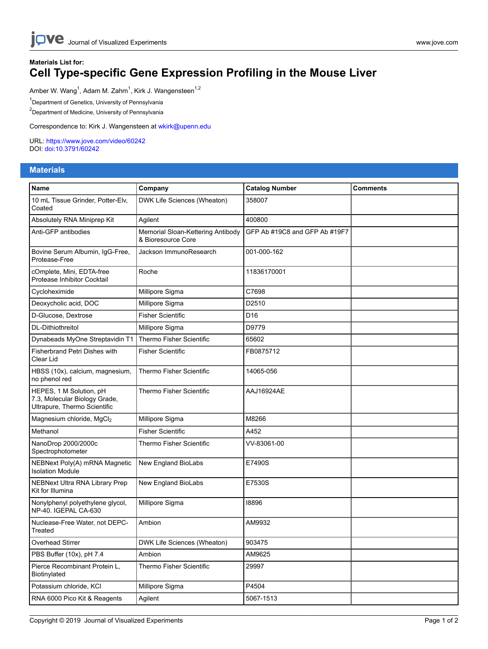jove Journal of Visualized [Experiments](https://www.jove.com) [www.jove.com](https://www.jove.com)

## **Materials List for: Cell Type-specific Gene Expression Profiling in the Mouse Liver**

Amber W. Wang<sup>1</sup>, Adam M. Zahm<sup>1</sup>, Kirk J. Wangensteen<sup>1,2</sup>

<sup>1</sup>Department of Genetics, University of Pennsylvania

<sup>2</sup>Department of Medicine, University of Pennsylvania

Correspondence to: Kirk J. Wangensteen at [wkirk@upenn.edu](mailto:wkirk@upenn.edu)

URL:<https://www.jove.com/video/60242> DOI: [doi:10.3791/60242](http://dx.doi.org/10.3791/60242)

## **Materials**

| <b>Name</b>                                                                              | Company                                                 | <b>Catalog Number</b>         | <b>Comments</b> |
|------------------------------------------------------------------------------------------|---------------------------------------------------------|-------------------------------|-----------------|
| 10 mL Tissue Grinder, Potter-Elv,<br>Coated                                              | DWK Life Sciences (Wheaton)                             | 358007                        |                 |
| Absolutely RNA Miniprep Kit                                                              | Agilent                                                 | 400800                        |                 |
| Anti-GFP antibodies                                                                      | Memorial Sloan-Kettering Antibody<br>& Bioresource Core | GFP Ab #19C8 and GFP Ab #19F7 |                 |
| Bovine Serum Albumin, IgG-Free,<br>Protease-Free                                         | Jackson ImmunoResearch                                  | 001-000-162                   |                 |
| cOmplete, Mini, EDTA-free<br>Protease Inhibitor Cocktail                                 | Roche                                                   | 11836170001                   |                 |
| Cycloheximide                                                                            | Millipore Sigma                                         | C7698                         |                 |
| Deoxycholic acid, DOC                                                                    | Millipore Sigma                                         | D2510                         |                 |
| D-Glucose, Dextrose                                                                      | <b>Fisher Scientific</b>                                | D <sub>16</sub>               |                 |
| DL-Dithiothreitol                                                                        | Millipore Sigma                                         | D9779                         |                 |
| Dynabeads MyOne Streptavidin T1                                                          | Thermo Fisher Scientific                                | 65602                         |                 |
| Fisherbrand Petri Dishes with<br>Clear Lid                                               | <b>Fisher Scientific</b>                                | FB0875712                     |                 |
| HBSS (10x), calcium, magnesium,<br>no phenol red                                         | <b>Thermo Fisher Scientific</b>                         | 14065-056                     |                 |
| HEPES, 1 M Solution, pH<br>7.3, Molecular Biology Grade,<br>Ultrapure, Thermo Scientific | Thermo Fisher Scientific                                | <b>AAJ16924AE</b>             |                 |
| Magnesium chloride, MgCl <sub>2</sub>                                                    | Millipore Sigma                                         | M8266                         |                 |
| Methanol                                                                                 | <b>Fisher Scientific</b>                                | A452                          |                 |
| NanoDrop 2000/2000c<br>Spectrophotometer                                                 | Thermo Fisher Scientific                                | VV-83061-00                   |                 |
| NEBNext Poly(A) mRNA Magnetic<br><b>Isolation Module</b>                                 | New England BioLabs                                     | E7490S                        |                 |
| NEBNext Ultra RNA Library Prep<br>Kit for Illumina                                       | New England BioLabs                                     | E7530S                        |                 |
| Nonylphenyl polyethylene glycol,<br>NP-40. IGEPAL CA-630                                 | Millipore Sigma                                         | 18896                         |                 |
| Nuclease-Free Water, not DEPC-<br>Treated                                                | Ambion                                                  | AM9932                        |                 |
| Overhead Stirrer                                                                         | DWK Life Sciences (Wheaton)                             | 903475                        |                 |
| PBS Buffer (10x), pH 7.4                                                                 | Ambion                                                  | AM9625                        |                 |
| Pierce Recombinant Protein L.<br>Biotinylated                                            | Thermo Fisher Scientific                                | 29997                         |                 |
| Potassium chloride, KCI                                                                  | Millipore Sigma                                         | P4504                         |                 |
| RNA 6000 Pico Kit & Reagents                                                             | Agilent                                                 | 5067-1513                     |                 |